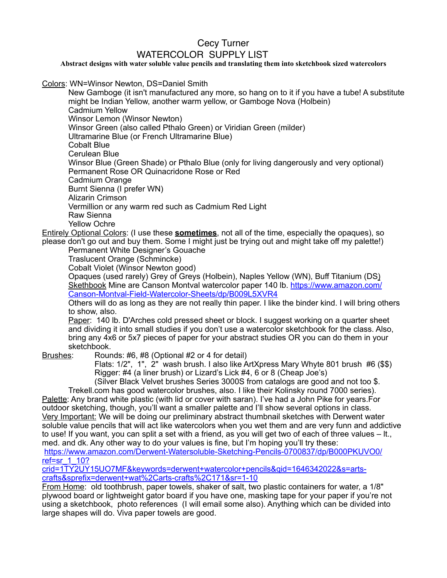## Cecy Turner WATERCOLOR SUPPLY LIST

## **Abstract designs with water soluble value pencils and translating them into sketchbook sized watercolors**

Colors: WN=Winsor Newton, DS=Daniel Smith

New Gamboge (it isn't manufactured any more, so hang on to it if you have a tube! A substitute might be Indian Yellow, another warm yellow, or Gamboge Nova (Holbein)

Cadmium Yellow Winsor Lemon (Winsor Newton)

Winsor Green (also called Pthalo Green) or Viridian Green (milder)

Ultramarine Blue (or French Ultramarine Blue)

Cobalt Blue

Cerulean Blue

Winsor Blue (Green Shade) or Pthalo Blue (only for living dangerously and very optional) Permanent Rose OR Quinacridone Rose or Red

Cadmium Orange

Burnt Sienna (I prefer WN)

Alizarin Crimson

Vermillion or any warm red such as Cadmium Red Light

Raw Sienna

Yellow Ochre

Entirely Optional Colors: (I use these **sometimes**, not all of the time, especially the opaques), so please don't go out and buy them. Some I might just be trying out and might take off my palette!)

Permanent White Designer's Gouache

Traslucent Orange (Schmincke)

Cobalt Violet (Winsor Newton good)

Opaques (used rarely) Grey of Greys (Holbein), Naples Yellow (WN), Buff Titanium (DS) Skethbook Mine are Canson Montval watercolor paper 140 lb. [https://www.amazon.com/](https://www.amazon.com/Canson-Montval-Field-Watercolor-Sheets/dp/B009L5XVR4) [Canson-Montval-Field-Watercolor-Sheets/dp/B009L5XVR4](https://www.amazon.com/Canson-Montval-Field-Watercolor-Sheets/dp/B009L5XVR4)

Others will do as long as they are not really thin paper. I like the binder kind. I will bring others to show, also.

Paper: 140 lb. D'Arches cold pressed sheet or block. I suggest working on a quarter sheet and dividing it into small studies if you don't use a watercolor sketchbook for the class. Also, bring any 4x6 or 5x7 pieces of paper for your abstract studies OR you can do them in your sketchbook.

Brushes: Rounds: #6, #8 (Optional #2 or 4 for detail)

Flats: 1/2", 1", 2" wash brush. I also like ArtXpress Mary Whyte 801 brush #6 (\$\$) Rigger: #4 (a liner brush) or Lizard's Lick #4, 6 or 8 (Cheap Joe's)

(Silver Black Velvet brushes Series 3000S from catalogs are good and not too \$. Trekell.com has good watercolor brushes, also. I like their Kolinsky round 7000 series).

Palette: Any brand white plastic (with lid or cover with saran). I've had a John Pike for years.For outdoor sketching, though, you'll want a smaller palette and I'll show several options in class. Very Important: We will be doing our preliminary abstract thumbnail sketches with Derwent water soluble value pencils that will act like watercolors when you wet them and are very funn and addictive to use! If you want, you can split a set with a friend, as you will get two of each of three values – lt., med. and dk. Any other way to do your values is fine, but I'm hoping you'll try these: [https://www.amazon.com/Derwent-Watersoluble-Sketching-Pencils-0700837/dp/B000PKUVO0/](https://www.amazon.com/Derwent-Watersoluble-Sketching-Pencils-0700837/dp/B000PKUVO0/ref=sr_1_10?crid=1TY2UY15UO7MF&keywords=derwent+watercolor+pencils&qid=1646342022&s=arts-crafts&sprefix=derwent+wat%252Carts-crafts%252C171&sr=1-10)

[ref=sr\\_1\\_10?](https://www.amazon.com/Derwent-Watersoluble-Sketching-Pencils-0700837/dp/B000PKUVO0/ref=sr_1_10?crid=1TY2UY15UO7MF&keywords=derwent+watercolor+pencils&qid=1646342022&s=arts-crafts&sprefix=derwent+wat%252Carts-crafts%252C171&sr=1-10)

[crid=1TY2UY15UO7MF&keywords=derwent+watercolor+pencils&qid=1646342022&s=arts](https://www.amazon.com/Derwent-Watersoluble-Sketching-Pencils-0700837/dp/B000PKUVO0/ref=sr_1_10?crid=1TY2UY15UO7MF&keywords=derwent+watercolor+pencils&qid=1646342022&s=arts-crafts&sprefix=derwent+wat%252Carts-crafts%252C171&sr=1-10)[crafts&sprefix=derwent+wat%2Carts-crafts%2C171&sr=1-10](https://www.amazon.com/Derwent-Watersoluble-Sketching-Pencils-0700837/dp/B000PKUVO0/ref=sr_1_10?crid=1TY2UY15UO7MF&keywords=derwent+watercolor+pencils&qid=1646342022&s=arts-crafts&sprefix=derwent+wat%252Carts-crafts%252C171&sr=1-10)

From Home: old toothbrush, paper towels, shaker of salt, two plastic containers for water, a 1/8" plywood board or lightweight gator board if you have one, masking tape for your paper if you're not using a sketchbook, photo references (I will email some also). Anything which can be divided into large shapes will do. Viva paper towels are good.